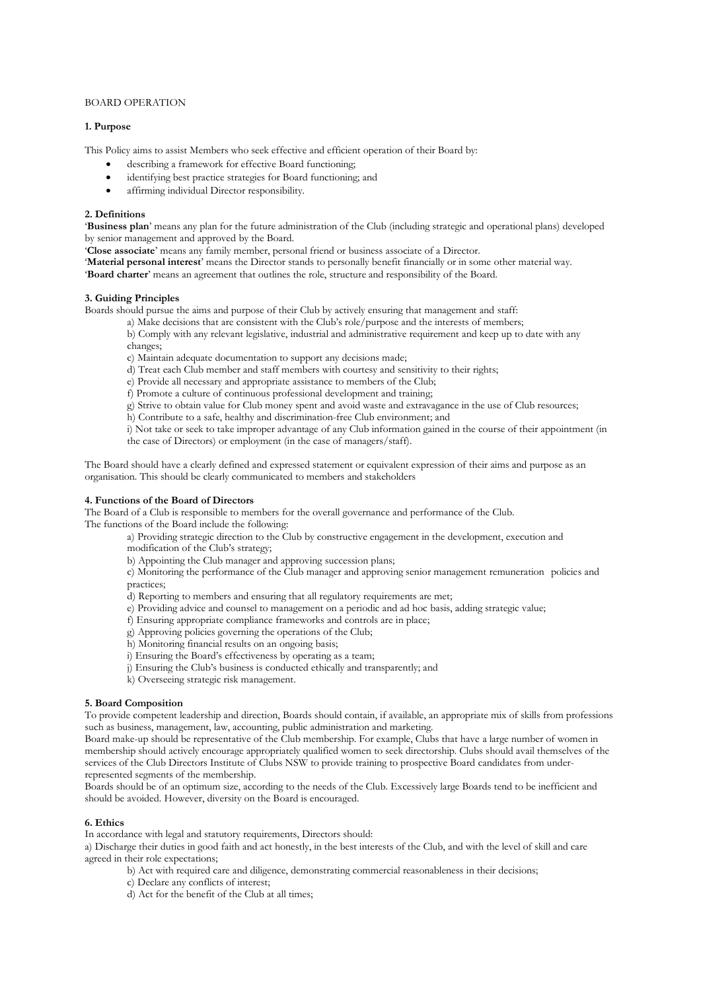### BOARD OPERATION

# **1. Purpose**

This Policy aims to assist Members who seek effective and efficient operation of their Board by:

- describing a framework for effective Board functioning;
- identifying best practice strategies for Board functioning; and
- affirming individual Director responsibility.

### **2. Definitions**

'**Business plan**' means any plan for the future administration of the Club (including strategic and operational plans) developed by senior management and approved by the Board.

- '**Close associate**' means any family member, personal friend or business associate of a Director.
- '**Material personal interest**' means the Director stands to personally benefit financially or in some other material way.

'**Board charter**' means an agreement that outlines the role, structure and responsibility of the Board.

# **3. Guiding Principles**

Boards should pursue the aims and purpose of their Club by actively ensuring that management and staff:

a) Make decisions that are consistent with the Club's role/purpose and the interests of members;

b) Comply with any relevant legislative, industrial and administrative requirement and keep up to date with any changes;

- c) Maintain adequate documentation to support any decisions made;
- d) Treat each Club member and staff members with courtesy and sensitivity to their rights;
- e) Provide all necessary and appropriate assistance to members of the Club;
- f) Promote a culture of continuous professional development and training;
- g) Strive to obtain value for Club money spent and avoid waste and extravagance in the use of Club resources;
- h) Contribute to a safe, healthy and discrimination-free Club environment; and

i) Not take or seek to take improper advantage of any Club information gained in the course of their appointment (in the case of Directors) or employment (in the case of managers/staff).

The Board should have a clearly defined and expressed statement or equivalent expression of their aims and purpose as an organisation. This should be clearly communicated to members and stakeholders

### **4. Functions of the Board of Directors**

The Board of a Club is responsible to members for the overall governance and performance of the Club. The functions of the Board include the following:

a) Providing strategic direction to the Club by constructive engagement in the development, execution and modification of the Club's strategy;

- b) Appointing the Club manager and approving succession plans;
- c) Monitoring the performance of the Club manager and approving senior management remuneration policies and practices;
- d) Reporting to members and ensuring that all regulatory requirements are met;
- e) Providing advice and counsel to management on a periodic and ad hoc basis, adding strategic value;
- f) Ensuring appropriate compliance frameworks and controls are in place;
- g) Approving policies governing the operations of the Club;
- h) Monitoring financial results on an ongoing basis;
- i) Ensuring the Board's effectiveness by operating as a team;
- j) Ensuring the Club's business is conducted ethically and transparently; and
- k) Overseeing strategic risk management.

#### **5. Board Composition**

To provide competent leadership and direction, Boards should contain, if available, an appropriate mix of skills from professions such as business, management, law, accounting, public administration and marketing.

Board make-up should be representative of the Club membership. For example, Clubs that have a large number of women in membership should actively encourage appropriately qualified women to seek directorship. Clubs should avail themselves of the services of the Club Directors Institute of Clubs NSW to provide training to prospective Board candidates from underrepresented segments of the membership.

Boards should be of an optimum size, according to the needs of the Club. Excessively large Boards tend to be inefficient and should be avoided. However, diversity on the Board is encouraged.

# **6. Ethics**

In accordance with legal and statutory requirements, Directors should:

a) Discharge their duties in good faith and act honestly, in the best interests of the Club, and with the level of skill and care agreed in their role expectations;

- b) Act with required care and diligence, demonstrating commercial reasonableness in their decisions;
- c) Declare any conflicts of interest;
- d) Act for the benefit of the Club at all times;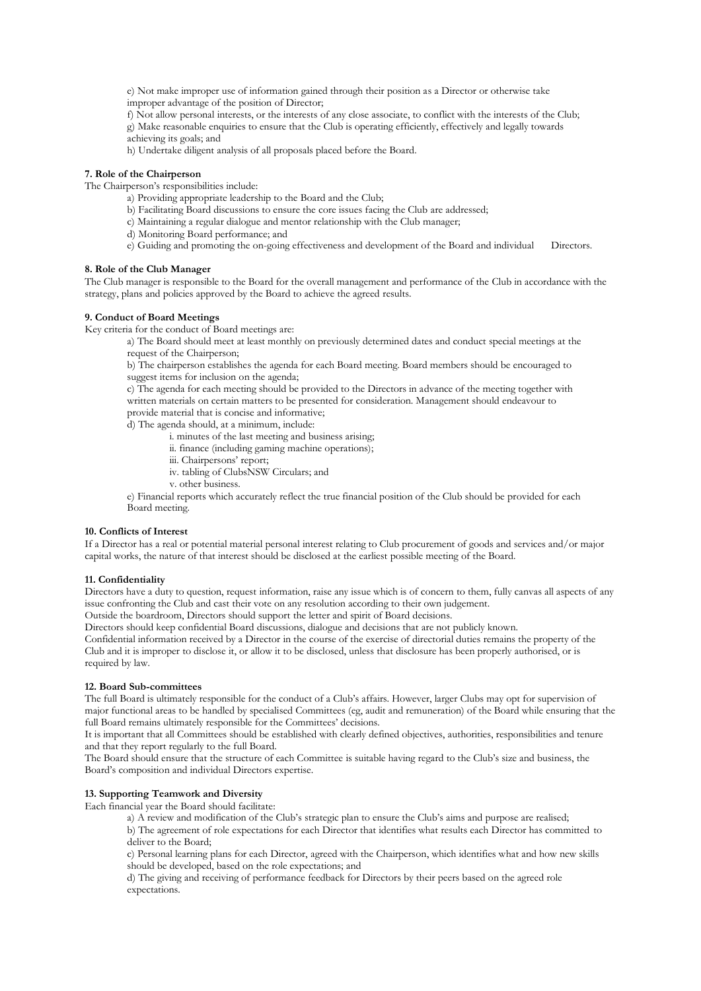e) Not make improper use of information gained through their position as a Director or otherwise take improper advantage of the position of Director;

f) Not allow personal interests, or the interests of any close associate, to conflict with the interests of the Club;

g) Make reasonable enquiries to ensure that the Club is operating efficiently, effectively and legally towards achieving its goals; and

h) Undertake diligent analysis of all proposals placed before the Board.

# **7. Role of the Chairperson**

The Chairperson's responsibilities include:

- a) Providing appropriate leadership to the Board and the Club;
- b) Facilitating Board discussions to ensure the core issues facing the Club are addressed;
- c) Maintaining a regular dialogue and mentor relationship with the Club manager;
- d) Monitoring Board performance; and
- e) Guiding and promoting the on-going effectiveness and development of the Board and individual Directors.

# **8. Role of the Club Manager**

The Club manager is responsible to the Board for the overall management and performance of the Club in accordance with the strategy, plans and policies approved by the Board to achieve the agreed results.

# **9. Conduct of Board Meetings**

Key criteria for the conduct of Board meetings are:

a) The Board should meet at least monthly on previously determined dates and conduct special meetings at the request of the Chairperson;

b) The chairperson establishes the agenda for each Board meeting. Board members should be encouraged to suggest items for inclusion on the agenda;

c) The agenda for each meeting should be provided to the Directors in advance of the meeting together with written materials on certain matters to be presented for consideration. Management should endeavour to provide material that is concise and informative;

d) The agenda should, at a minimum, include:

- i. minutes of the last meeting and business arising;
- ii. finance (including gaming machine operations);
- iii. Chairpersons' report;
- iv. tabling of ClubsNSW Circulars; and
- v. other business.

e) Financial reports which accurately reflect the true financial position of the Club should be provided for each Board meeting.

#### **10. Conflicts of Interest**

If a Director has a real or potential material personal interest relating to Club procurement of goods and services and/or major capital works, the nature of that interest should be disclosed at the earliest possible meeting of the Board.

#### **11. Confidentiality**

Directors have a duty to question, request information, raise any issue which is of concern to them, fully canvas all aspects of any issue confronting the Club and cast their vote on any resolution according to their own judgement.

Outside the boardroom, Directors should support the letter and spirit of Board decisions.

Directors should keep confidential Board discussions, dialogue and decisions that are not publicly known.

Confidential information received by a Director in the course of the exercise of directorial duties remains the property of the Club and it is improper to disclose it, or allow it to be disclosed, unless that disclosure has been properly authorised, or is required by law.

### **12. Board Sub-committees**

The full Board is ultimately responsible for the conduct of a Club's affairs. However, larger Clubs may opt for supervision of major functional areas to be handled by specialised Committees (eg, audit and remuneration) of the Board while ensuring that the full Board remains ultimately responsible for the Committees' decisions.

It is important that all Committees should be established with clearly defined objectives, authorities, responsibilities and tenure and that they report regularly to the full Board.

The Board should ensure that the structure of each Committee is suitable having regard to the Club's size and business, the Board's composition and individual Directors expertise.

# **13. Supporting Teamwork and Diversity**

Each financial year the Board should facilitate:

a) A review and modification of the Club's strategic plan to ensure the Club's aims and purpose are realised;

b) The agreement of role expectations for each Director that identifies what results each Director has committed to deliver to the Board;

c) Personal learning plans for each Director, agreed with the Chairperson, which identifies what and how new skills should be developed, based on the role expectations; and

d) The giving and receiving of performance feedback for Directors by their peers based on the agreed role expectations.